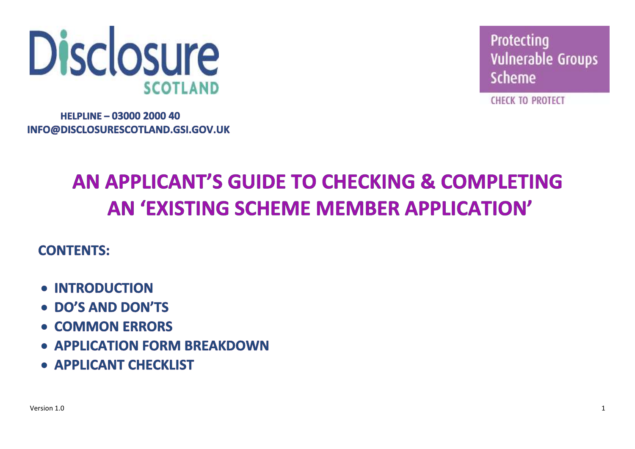

Protecting **Vulnerable Groups Scheme** 

**CHECK TO PROTECT** 

**HELPLINE - 03000 2000 40** INFO@DISCLOSURESCOTLAND.GSI.GOV.UK

# AN APPLICANT'S GUIDE TO CHECKING & COMPLETING AN 'EXISTING SCHEME MEMBER APPLICATION'

## **CONTENTS:**

- INTRODUCTION
- DO'S AND DON'TS
- **COMMON ERRORS**
- APPLICATION FORM BREAKDOWN
- APPLICANT CHECKLIST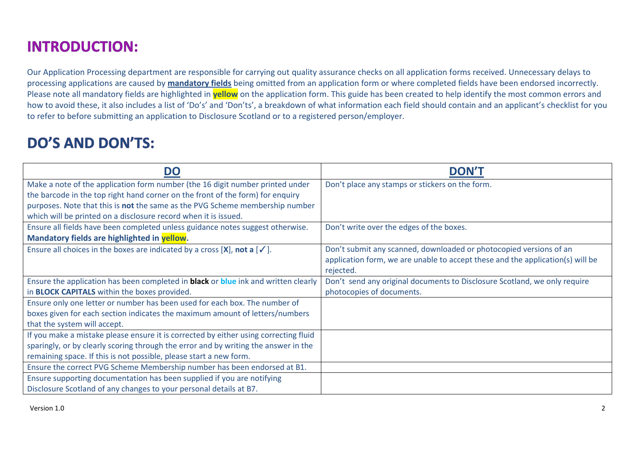## **INTRODUCTION:**

Our Application Processing department are responsible for carrying out quality assurance checks on all application forms received. Unnecessary delays to processing applications are caused by **mandatory fields** being omitted from an application form or where completed fields have been endorsed incorrectly. Please note all mandatory fields are highlighted in **yellow** on the application form. This guide has been created to help identify the most common errors and how to avoid these, it also includes a list of 'Do's' and 'Don'ts', a breakdown of what information each field should contain and an applicant's checklist for you to refer to before submitting an application to Disclosure Scotland or to a registered person/employer.

## **DO'S AND DON'TS:**

| DO                                                                                               |                                                                                |
|--------------------------------------------------------------------------------------------------|--------------------------------------------------------------------------------|
| Make a note of the application form number (the 16 digit number printed under                    | Don't place any stamps or stickers on the form.                                |
| the barcode in the top right hand corner on the front of the form) for enquiry                   |                                                                                |
| purposes. Note that this is not the same as the PVG Scheme membership number                     |                                                                                |
| which will be printed on a disclosure record when it is issued.                                  |                                                                                |
| Ensure all fields have been completed unless guidance notes suggest otherwise.                   | Don't write over the edges of the boxes.                                       |
| Mandatory fields are highlighted in yellow.                                                      |                                                                                |
| Ensure all choices in the boxes are indicated by a cross $[X]$ , not a $[\checkmark]$ .          | Don't submit any scanned, downloaded or photocopied versions of an             |
|                                                                                                  | application form, we are unable to accept these and the application(s) will be |
|                                                                                                  | rejected.                                                                      |
| Ensure the application has been completed in <b>black</b> or <b>blue</b> ink and written clearly | Don't send any original documents to Disclosure Scotland, we only require      |
| in <b>BLOCK CAPITALS</b> within the boxes provided.                                              | photocopies of documents.                                                      |
| Ensure only one letter or number has been used for each box. The number of                       |                                                                                |
| boxes given for each section indicates the maximum amount of letters/numbers                     |                                                                                |
| that the system will accept.                                                                     |                                                                                |
| If you make a mistake please ensure it is corrected by either using correcting fluid             |                                                                                |
| sparingly, or by clearly scoring through the error and by writing the answer in the              |                                                                                |
| remaining space. If this is not possible, please start a new form.                               |                                                                                |
| Ensure the correct PVG Scheme Membership number has been endorsed at B1.                         |                                                                                |
| Ensure supporting documentation has been supplied if you are notifying                           |                                                                                |
| Disclosure Scotland of any changes to your personal details at B7.                               |                                                                                |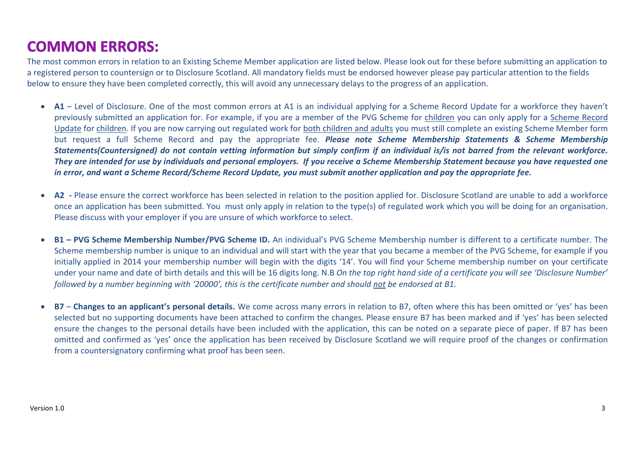## **COMMON ERRORS:**

The most common errors in relation to an Existing Scheme Member application are listed below. Please look out for these before submitting an application to a registered person to countersign or to Disclosure Scotland. All mandatory fields must be endorsed however please pay particular attention to the fields below to ensure they have been completed correctly, this will avoid any unnecessary delays to the progress of an application.

- A1 Level of Disclosure. One of the most common errors at A1 is an individual applying for a Scheme Record Update for a workforce they haven't previously submitted an application for. For example, if you are a member of the PVG Scheme for children you can only apply for a Scheme Record Update for children. If you are now carrying out regulated work for both children and adults you must still complete an existing Scheme Member form but request a full Scheme Record and pay the appropriate fee. *Please note Scheme Membership Statements & Scheme Membership Statements(Countersigned) do not contain vetting information but simply confirm if an individual is/is not barred from the relevant workforce. They are intended for use by individuals and personal employers. If you receive a Scheme Membership Statement because you have requested one in error, and want a Scheme Record/Scheme Record Update, you must submit another application and pay the appropriate fee.*
- **A2 -** Please ensure the correct workforce has been selected in relation to the position applied for. Disclosure Scotland are unable to add a workforce once an application has been submitted. You must only apply in relation to the type(s) of regulated work which you will be doing for an organisation. Please discuss with your employer if you are unsure of which workforce to select.
- **B1 – PVG Scheme Membership Number/PVG Scheme ID.** An individual's PVG Scheme Membership number is different to a certificate number. The Scheme membership number is unique to an individual and will start with the year that you became a member of the PVG Scheme, for example if you initially applied in 2014 your membership number will begin with the digits '14'. You will find your Scheme membership number on your certificate under your name and date of birth details and this will be 16 digits long. N.B *On the top right hand side of a certificate you will see 'Disclosure Number' followed by a number beginning with '20000', this is the certificate number and should not be endorsed at B1.*
- **B7** *–* **Changes to an applicant's personal details.** We come across many errors in relation to B7, often where this has been omitted or 'yes' has been selected but no supporting documents have been attached to confirm the changes. Please ensure B7 has been marked and if 'yes' has been selected ensure the changes to the personal details have been included with the application, this can be noted on a separate piece of paper. If B7 has been omitted and confirmed as 'yes' once the application has been received by Disclosure Scotland we will require proof of the changes or confirmation from a countersignatory confirming what proof has been seen.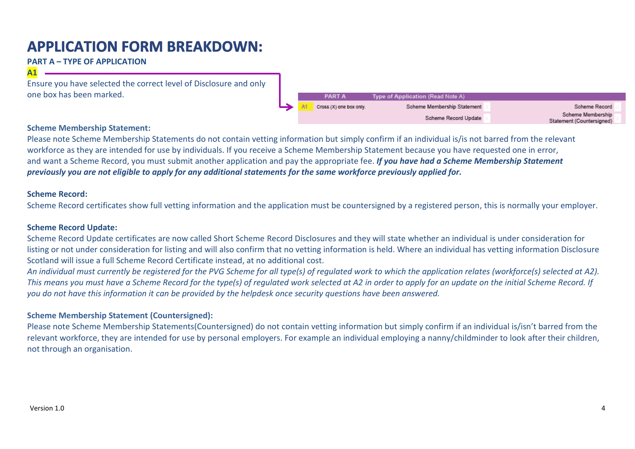## **APPLICATION FORM BREAKDOWN:**

**PART A – TYPE OF APPLICATION**

Ensure you have selected the correct level of Disclosure and only one box has been marked.

| <b>PART A</b>           | Type of Application (Read Note A) |                                                |
|-------------------------|-----------------------------------|------------------------------------------------|
| Cross (X) one box only. | Scheme Membership Statement       | Scheme Record                                  |
|                         | Scheme Record Update              | Scheme Membership<br>Statement (Countersigned) |

### **Scheme Membership Statement:**

Please note Scheme Membership Statements do not contain vetting information but simply confirm if an individual is/is not barred from the relevant workforce as they are intended for use by individuals. If you receive a Scheme Membership Statement because you have requested one in error, and want a Scheme Record, you must submit another application and pay the appropriate fee. *If you have had a Scheme Membership Statement previously you are not eligible to apply for any additional statements for the same workforce previously applied for.*

### **Scheme Record:**

**A1**

Scheme Record certificates show full vetting information and the application must be countersigned by a registered person, this is normally your employer.

### **Scheme Record Update:**

Scheme Record Update certificates are now called Short Scheme Record Disclosures and they will state whether an individual is under consideration for listing or not under consideration for listing and will also confirm that no vetting information is held. Where an individual has vetting information Disclosure Scotland will issue a full Scheme Record Certificate instead, at no additional cost.

*An individual must currently be registered for the PVG Scheme for all type(s) of regulated work to which the application relates (workforce(s) selected at A2). This means you must have a Scheme Record for the type(s) of regulated work selected at A2 in order to apply for an update on the initial Scheme Record. If you do not have this information it can be provided by the helpdesk once security questions have been answered.*

### **Scheme Membership Statement (Countersigned):**

Please note Scheme Membership Statements(Countersigned) do not contain vetting information but simply confirm if an individual is/isn't barred from the relevant workforce, they are intended for use by personal employers. For example an individual employing a nanny/childminder to look after their children, not through an organisation.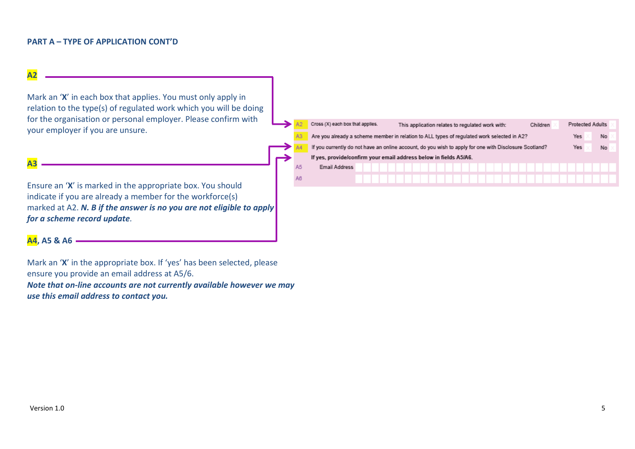#### **A2**

**A3**

Mark an '**X**' in each box that applies. You must only apply in relation to the type(s) of regulated work which you will be doing for the organisation or personal employer. Please confirm with your employer if you are unsure.

Ensure an '**X**' is marked in the appropriate box. You should indicate if you are already a member for the workforce(s) marked at A2. *N. B if the answer is no you are not eligible to apply for a scheme record update.*

## **A4, A5 & A6**

Mark an '**X**' in the appropriate box. If 'yes' has been selected, please ensure you provide an email address at A5/6. *Note that on-line accounts are not currently available however we may use this email address to contact you.*

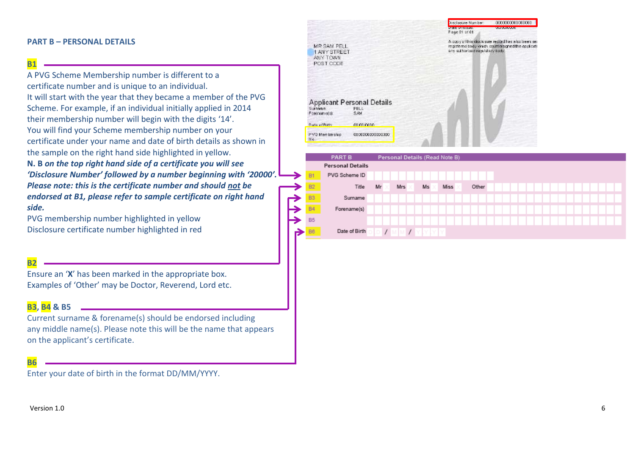### **PART B – PERSONAL DETAILS**

**B1**

A PVG Scheme Membership number is different to a certificate number and is unique to an individual. It will start with the year that they became a member of the PVG Scheme. For example, if an individual initially applied in 2014 their membership number will begin with the digits '14 '. You will find your Scheme membership number on your certificate under your name and date of birth details as shown in the sample on the right hand side highlighted in yellow. **N. B** *on the top right hand side of a certificate you will see 'Disclosure Number' followed by a number beginning with '20000'. Please note: this is the certificate number and should not be endorsed at B1, please refer to sample certificate on right hand side .*

PVG membership number highlighted in yellow Disclosure certificate number highlighted in red

**B2** 

Ensure an ' **X**' has been marked in the appropriate box. Examples of 'Other' may be Doctor, Reverend, Lord etc .

## **B3, B4 & B5**

Current surname & forename(s) should be endorsed including any middle name(s). Please note this will be the name that appears on the applicant's certificate .

## **B6**

Enter your date of birth in the format DD/MM/YYYY .

|                                                             |                                                  | hisclosure Number:<br>10000000000000<br>Page 01 of 01 | 000000000000000                                                                                          |
|-------------------------------------------------------------|--------------------------------------------------|-------------------------------------------------------|----------------------------------------------------------------------------------------------------------|
| MR SAM PELL<br><b>1 ANY STREET</b><br>ANY TOWN<br>POST CODE |                                                  | any authorised requisitory body.                      | A copy of this cisclo sure record has also been set<br>registered body winds countersigned the epplicati |
| iumane<br>onemamersin                                       | Applicant Personal Details<br><b>FELL</b><br>SAM |                                                       |                                                                                                          |
| ata of Bitty                                                | carea roano.                                     |                                                       |                                                                                                          |
| awa wall EV <sup>e</sup><br>tö.                             | 0000000000000300                                 |                                                       |                                                                                                          |

|                | <b>PART B</b>           | Personal Details (Read Note B)          |
|----------------|-------------------------|-----------------------------------------|
|                | <b>Personal Details</b> |                                         |
| <b>B1</b>      | PVG Scheme ID           |                                         |
| <b>B2</b>      | Title                   | Mr<br><b>Mrs</b><br>Ms<br>Miss<br>Other |
| <b>B3</b>      | Surname                 |                                         |
| <b>B4</b>      | Forename(s)             |                                         |
| <b>B5</b>      |                         |                                         |
| B <sub>6</sub> | Date of Birth           | DI MMINI YEYEY                          |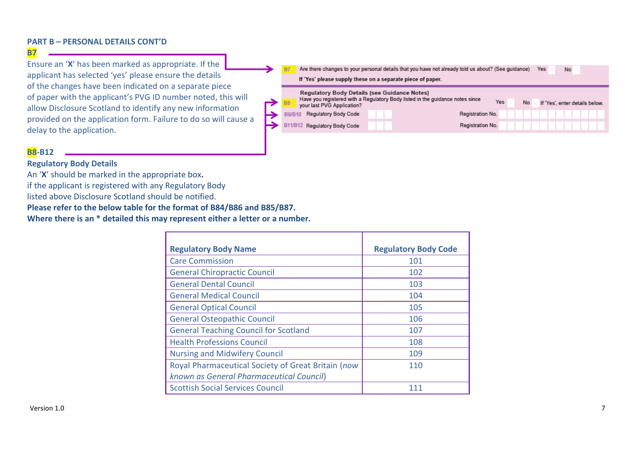### **PART B – PERSONAL DETAILS CONT'D**

Ensure an '**X**' has been marked as appropriate. If the applicant has selected 'yes' please ensure the details of the changes have been indicated on a separate piece of paper with the applicant's PVG ID number noted, this will allow Disclosure Scotland to identify any new information provided on the application form. Failure to do so will cause a delay to the application.

| <b>B7</b>     | Are there changes to your personal details that you have not already told us about? (See guidance)<br>Yes<br>No.<br>If 'Yes' please supply these on a separate piece of paper.                             |  |                  |  |  |  |  |  |  |
|---------------|------------------------------------------------------------------------------------------------------------------------------------------------------------------------------------------------------------|--|------------------|--|--|--|--|--|--|
| <b>B8</b>     | Regulatory Body Details (see Guidance Notes)<br>Have you registered with a Regulatory Body listed in the guidance notes since<br>Yes<br>No<br>If 'Yes', enter details below.<br>your last PVG Application? |  |                  |  |  |  |  |  |  |
| <b>B9/B10</b> | Regulatory Body Code                                                                                                                                                                                       |  | Registration No. |  |  |  |  |  |  |
|               | B11/B12 Regulatory Body Code                                                                                                                                                                               |  | Registration No. |  |  |  |  |  |  |
|               |                                                                                                                                                                                                            |  |                  |  |  |  |  |  |  |

### **B8-B12**

**B7**

## **Regulatory Body Details**

An '**X**' should be marked in the appropriate box**.**

if the applicant is registered with any Regulatory Body

listed above Disclosure Scotland should be notified.

**Please refer to the below table for the format of B84/B86 and B85/B87.**

**Where there is an \* detailed this may represent either a letter or a number.** 

| <b>Regulatory Body Name</b>                        | <b>Regulatory Body Code</b> |
|----------------------------------------------------|-----------------------------|
| <b>Care Commission</b>                             | 101                         |
| <b>General Chiropractic Council</b>                | 102                         |
| <b>General Dental Council</b>                      | 103                         |
| <b>General Medical Council</b>                     | 104                         |
| <b>General Optical Council</b>                     | 105                         |
| <b>General Osteopathic Council</b>                 | 106                         |
| <b>General Teaching Council for Scotland</b>       | 107                         |
| <b>Health Professions Council</b>                  | 108                         |
| <b>Nursing and Midwifery Council</b>               | 109                         |
| Royal Pharmaceutical Society of Great Britain (now | 110                         |
| known as General Pharmaceutical Council)           |                             |
| <b>Scottish Social Services Council</b>            |                             |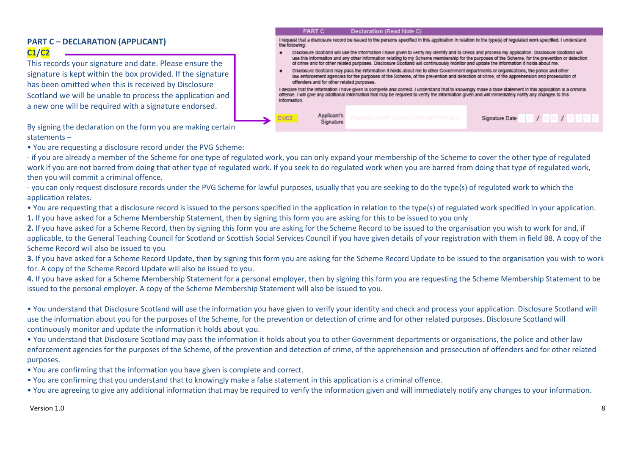## **PART C – DECLARATION (APPLICANT) C1/C2**

This records your signature and date. Please ensure the signature is kept within the box provided. If the signature has been omitted when this is received by Disclosure Scotland we will be unable to process the application and a new one will be required with a signature endorsed.

By signing the declaration on the form you are making certain statements –

• You are requesting a disclosure record under the PVG Scheme:

**Declaration (Read Note C) PART C** 

| I request that a disclosure record be issued to the persons specified in this application in relation to the type(s) of requiated work specified. I understand<br>the following:                                                                                                                                                                                                                                                             |  |                          |  |                            |  |                |  |  |  |  |  |
|----------------------------------------------------------------------------------------------------------------------------------------------------------------------------------------------------------------------------------------------------------------------------------------------------------------------------------------------------------------------------------------------------------------------------------------------|--|--------------------------|--|----------------------------|--|----------------|--|--|--|--|--|
| Disclosure Scotland will use the information I have given to verify my identity and to check and process my application. Disclosure Scotland will<br>use this information and any other information relating to my Scheme membership for the purposes of the Scheme, for the prevention or detection<br>of crime and for other related purposes. Disclosure Scotland will continuously monitor and update the information it holds about me. |  |                          |  |                            |  |                |  |  |  |  |  |
| Disclosure Scotiand may pass the information it holds about me to other Government departments or organisations, the police and other<br>٠<br>law enforcement agencies for the purposes of the Scheme, of the prevention and detection of crime, of the apprehension and prosecution of<br>offenders and for other related purposes.                                                                                                         |  |                          |  |                            |  |                |  |  |  |  |  |
| i declare that the information I have given is complete and correct. I understand that to knowingly make a false statement in this application is a criminal<br>offence. I will give any additional information that may be required to verify the information given and will immediately notify any changes to this<br>Information.                                                                                                         |  |                          |  |                            |  |                |  |  |  |  |  |
|                                                                                                                                                                                                                                                                                                                                                                                                                                              |  | Applicant's<br>Signature |  | FASE KEEP SIGNATURE WITHIN |  | Signature Date |  |  |  |  |  |

- if you are already a member of the Scheme for one type of regulated work, you can only expand your membership of the Scheme to cover the other type of regulated work if you are not barred from doing that other type of regulated work. If you seek to do regulated work when you are barred from doing that type of regulated work, then you will commit a criminal offence.

- you can only request disclosure records under the PVG Scheme for lawful purposes, usually that you are seeking to do the type(s) of regulated work to which the application relates.

• You are requesting that a disclosure record is issued to the persons specified in the application in relation to the type(s) of regulated work specified in your application.

**1.** If you have asked for a Scheme Membership Statement, then by signing this form you are asking for this to be issued to you only

**2.** If you have asked for a Scheme Record, then by signing this form you are asking for the Scheme Record to be issued to the organisation you wish to work for and, if applicable, to the General Teaching Council for Scotland or Scottish Social Services Council if you have given details of your registration with them in field B8. A copy of the Scheme Record will also be issued to you

**3.** If you have asked for a Scheme Record Update, then by signing this form you are asking for the Scheme Record Update to be issued to the organisation you wish to work for. A copy of the Scheme Record Update will also be issued to you.

**4.** If you have asked for a Scheme Membership Statement for a personal employer, then by signing this form you are requesting the Scheme Membership Statement to be issued to the personal employer. A copy of the Scheme Membership Statement will also be issued to you.

• You understand that Disclosure Scotland will use the information you have given to verify your identity and check and process your application. Disclosure Scotland will use the information about you for the purposes of the Scheme, for the prevention or detection of crime and for other related purposes. Disclosure Scotland will continuously monitor and update the information it holds about you.

• You understand that Disclosure Scotland may pass the information it holds about you to other Government departments or organisations, the police and other law enforcement agencies for the purposes of the Scheme, of the prevention and detection of crime, of the apprehension and prosecution of offenders and for other related purposes.

• You are confirming that the information you have given is complete and correct.

• You are confirming that you understand that to knowingly make a false statement in this application is a criminal offence.

• You are agreeing to give any additional information that may be required to verify the information given and will immediately notify any changes to your information.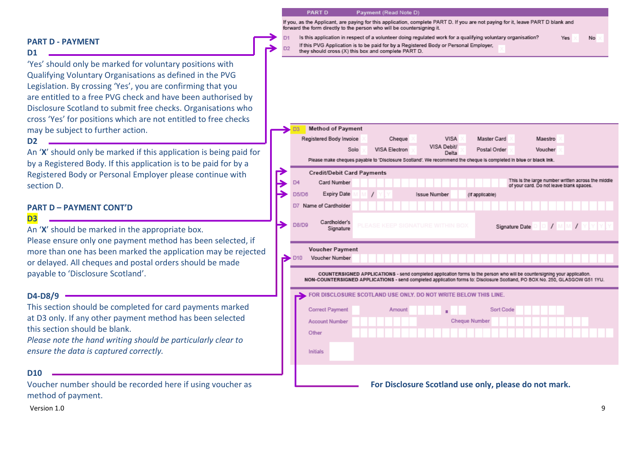#### Payment (Read Note D)

**PART D** 

Initials

If you, as the Applicant, are paying for this application, complete PART D. If you are not paying for it, leave PART D blank and forward the form directly to the person who will be countersigning it.

Is this application in respect of a volunteer doing regulated work for a qualifying voluntary organisation? D)

#### If this PVG Application is to be paid for by a Registered Body or Personal Employer. they should cross (X) this box and complete PART D.

#### **PART D - PAYMENT**

#### **D1**

'Yes' should only be marked for voluntary positions with Qualifying Voluntary Organisations as defined in the PVG Legislation. By crossing 'Yes', you are confirming that you are entitled to a free PVG check and have been authorised by Disclosure Scotland to submit free checks. Organisations who cross 'Yes' for positions which are not entitled to free checks may be subject to further action.

#### **D2**

An '**X**' should only be marked if this application is being paid for by a Registered Body. If this application is to be paid for by a Registered Body or Personal Employer please continue with section D.

#### **PART D – PAYMENT CONT'D**

#### **D3**

An '**X**' should be marked in the appropriate box. Please ensure only one payment method has been selected, if more than one has been marked the application may be rejected or delayed. All cheques and postal orders should be made payable to 'Disclosure Scotland'.

#### **D4-D8/9**

This section should be completed for card payments marked at D3 only. If any other payment method has been selected this section should be blank.

*Please note the hand writing should be particularly clear to ensure the data is captured correctly.*

#### **D10**

Voucher number should be recorded here if using voucher as **For Disclosure Scotland use only, please do not mark.** method of payment.

| <b>Method of Payment</b><br>73                                                                                                                                                                                                                          |
|---------------------------------------------------------------------------------------------------------------------------------------------------------------------------------------------------------------------------------------------------------|
| <b>VISA</b><br>Master Card<br>Registered Body Invoice<br>Cheque<br>Maestro                                                                                                                                                                              |
| VISA Debit/<br>VISA Electron<br>Postal Order<br>Voucher<br>Solo<br>Delta                                                                                                                                                                                |
| Please make cheques payable to 'Disclosure Scotland'. We recommend the cheque is completed in blue or black ink.                                                                                                                                        |
| <b>Credit/Debit Card Payments</b>                                                                                                                                                                                                                       |
| This is the large number written across the mido<br>Card Number<br>D <sub>4</sub><br>of your card. Do not leave blank spaces.                                                                                                                           |
| <b>Expiry Date</b><br><b>Issue Number</b><br>D5/D6<br>7<br>(if applicable)                                                                                                                                                                              |
| D7 Name of Cardholder                                                                                                                                                                                                                                   |
| Cardholder's<br><b>D8/D9</b><br>PLEASE KEEP SIGNATURE WITHIN BOX<br>$\frac{1}{2}$ M M $\frac{1}{2}$ Y Y Y<br>Signature Date<br>Signature                                                                                                                |
| <b>Voucher Payment</b><br>$\rightarrow$ D10<br>Voucher Number                                                                                                                                                                                           |
| COUNTERSIGNED APPLICATIONS - send completed application forms to the person who will be countersigning your application.<br>NON-COUNTERSIGNED APPLICATIONS - send completed application forms to: Disclosure Scotland, PO BOX No. 250, GLASGOW G51 1YU. |
| FOR DISCLOSURE SCOTLAND USE ONLY. DO NOT WRITE BELOW THIS LINE.                                                                                                                                                                                         |
| <b>Correct Payment</b><br><b>Sort Code</b><br>Amount<br>п                                                                                                                                                                                               |
| <b>Cheque Number</b><br><b>Account Number</b>                                                                                                                                                                                                           |
| Other                                                                                                                                                                                                                                                   |
|                                                                                                                                                                                                                                                         |
|                                                                                                                                                                                                                                                         |

Version 1.0 9

**Yes** 

**No**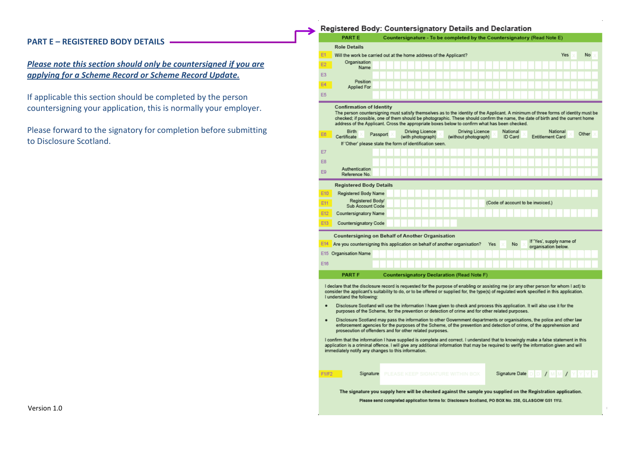#### **PART E – REGISTERED BODY DETAILS**

## *Please note this section should only be countersigned if you are applying for a Scheme Record or Scheme Record Update.*

If applicable this section should be completed by the person countersigning your application, this is normally your employer.

Please forward to the signatory for completion before submitting to Disclosure Scotland.

#### Registered Body: Countersignatory Details and Declaration

|                        | <b>PARTE</b>                                                                                                                                                                                                                                                                                                                                                                                               | Countersignature - To be completed by the Countersignatory (Read Note E)                                                                                         |                  |  |  |  |  |  |  |  |
|------------------------|------------------------------------------------------------------------------------------------------------------------------------------------------------------------------------------------------------------------------------------------------------------------------------------------------------------------------------------------------------------------------------------------------------|------------------------------------------------------------------------------------------------------------------------------------------------------------------|------------------|--|--|--|--|--|--|--|
|                        | <b>Role Details</b>                                                                                                                                                                                                                                                                                                                                                                                        |                                                                                                                                                                  |                  |  |  |  |  |  |  |  |
| E1                     |                                                                                                                                                                                                                                                                                                                                                                                                            | Will the work be carried out at the home address of the Applicant?                                                                                               | <b>Yes</b><br>No |  |  |  |  |  |  |  |
| E <sub>2</sub>         | Organisation<br>Name                                                                                                                                                                                                                                                                                                                                                                                       |                                                                                                                                                                  |                  |  |  |  |  |  |  |  |
| E3                     |                                                                                                                                                                                                                                                                                                                                                                                                            |                                                                                                                                                                  |                  |  |  |  |  |  |  |  |
| <b>E4</b>              | Position<br>Applied For                                                                                                                                                                                                                                                                                                                                                                                    |                                                                                                                                                                  |                  |  |  |  |  |  |  |  |
| E5                     |                                                                                                                                                                                                                                                                                                                                                                                                            |                                                                                                                                                                  |                  |  |  |  |  |  |  |  |
|                        | <b>Confirmation of Identity</b><br>The person countersigning must satisfy themselves as to the identity of the Applicant. A minimum of three forms of identity must be<br>checked; if possible, one of them should be photographic. These should confirm the name, the date of birth and the current home<br>address of the Applicant. Cross the appropriate boxes below to confirm what has been checked. |                                                                                                                                                                  |                  |  |  |  |  |  |  |  |
| E6                     | Birth<br>Certificate                                                                                                                                                                                                                                                                                                                                                                                       | <b>Driving Licence</b><br>Driving Licence<br>National<br>National<br>Passport<br>(with photograph)<br>ID Card<br><b>Entitlement Card</b><br>(without photograph) | Other            |  |  |  |  |  |  |  |
|                        |                                                                                                                                                                                                                                                                                                                                                                                                            | If 'Other' please state the form of identification seen.                                                                                                         |                  |  |  |  |  |  |  |  |
| E7                     |                                                                                                                                                                                                                                                                                                                                                                                                            |                                                                                                                                                                  |                  |  |  |  |  |  |  |  |
| E8                     |                                                                                                                                                                                                                                                                                                                                                                                                            |                                                                                                                                                                  |                  |  |  |  |  |  |  |  |
| E9                     | Authentication<br>Reference No.                                                                                                                                                                                                                                                                                                                                                                            |                                                                                                                                                                  |                  |  |  |  |  |  |  |  |
|                        | <b>Registered Body Details</b>                                                                                                                                                                                                                                                                                                                                                                             |                                                                                                                                                                  |                  |  |  |  |  |  |  |  |
| E10                    | Registered Body Name                                                                                                                                                                                                                                                                                                                                                                                       |                                                                                                                                                                  |                  |  |  |  |  |  |  |  |
| a an<br>E11<br>a sa ta | Registered Body/<br>Sub Account Code                                                                                                                                                                                                                                                                                                                                                                       | (Code of account to be invoiced.)                                                                                                                                |                  |  |  |  |  |  |  |  |
| E12                    | Countersignatory Name                                                                                                                                                                                                                                                                                                                                                                                      |                                                                                                                                                                  |                  |  |  |  |  |  |  |  |
| E13                    | Countersignatory Code                                                                                                                                                                                                                                                                                                                                                                                      |                                                                                                                                                                  |                  |  |  |  |  |  |  |  |
|                        |                                                                                                                                                                                                                                                                                                                                                                                                            | <b>Countersigning on Behalf of Another Organisation</b>                                                                                                          |                  |  |  |  |  |  |  |  |
| E14                    | If 'Yes', supply name of<br>Are you countersigning this application on behalf of another organisation?<br>No<br><b>Yes</b><br>organisation below.                                                                                                                                                                                                                                                          |                                                                                                                                                                  |                  |  |  |  |  |  |  |  |
|                        | E15 Organisation Name                                                                                                                                                                                                                                                                                                                                                                                      |                                                                                                                                                                  |                  |  |  |  |  |  |  |  |
| E16                    |                                                                                                                                                                                                                                                                                                                                                                                                            |                                                                                                                                                                  |                  |  |  |  |  |  |  |  |
|                        | <b>PART F</b>                                                                                                                                                                                                                                                                                                                                                                                              | <b>Countersignatory Declaration (Read Note F)</b>                                                                                                                |                  |  |  |  |  |  |  |  |

I declare that the disclosure record is requested for the purpose of enabling or assisting me (or any other person for whom I act) to consider the applicant's suitability to do, or to be offered or supplied for, the type(s) of regulated work specified in this application. I understand the following:

- . Disclosure Scotland will use the information I have given to check and process this application. It will also use it for the purposes of the Scheme, for the prevention or detection of crime and for other related purposes.
- . Disclosure Scotland may pass the information to other Government departments or organisations, the police and other law enforcement agencies for the purposes of the Scheme, of the prevention and detection of crime, of the apprehension and prosecution of offenders and for other related purposes.

I confirm that the information I have supplied is complete and correct. I understand that to knowingly make a false statement in this application is a criminal offence. I will give any additional information that may be required to verify the information given and will immediately notify any changes to this information.



Signature Date  $[0] \cup 1$  m m  $I$  y y y i

The signature you supply here will be checked against the sample you supplied on the Registration application. Please send completed application forms to: Disclosure Scotiand, PO BOX No. 250, GLASGOW G51 1YU.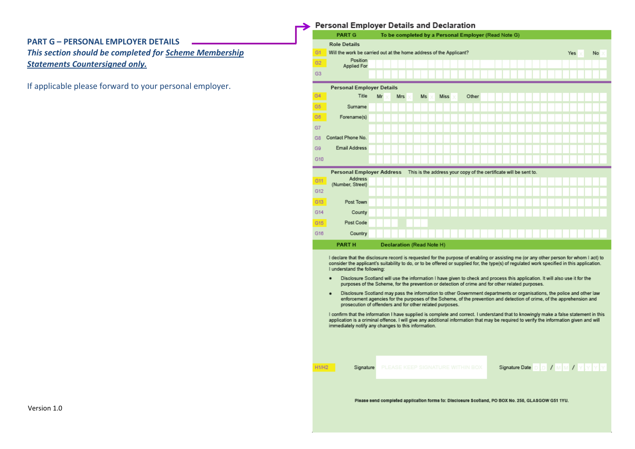#### Personal Employer Details and Declaration

#### **PART G – PERSONAL EMPLOYER DETAILS**

*This section should be completed for Scheme Membership Statements Countersigned only.*

If applicable please forward to your personal employer.

|                | <b>PART G</b>                                                      |    |     | To be completed by a Personal Employer (Read Note G)              |             |       |  |  |     |    |
|----------------|--------------------------------------------------------------------|----|-----|-------------------------------------------------------------------|-------------|-------|--|--|-----|----|
|                | <b>Role Details</b>                                                |    |     |                                                                   |             |       |  |  |     |    |
| G1             | Will the work be carried out at the home address of the Applicant? |    |     |                                                                   |             |       |  |  | Yes | No |
| G2             | Position<br>Applied For                                            |    |     |                                                                   |             |       |  |  |     |    |
| G3             |                                                                    |    |     |                                                                   |             |       |  |  |     |    |
|                | <b>Personal Employer Details</b>                                   |    |     |                                                                   |             |       |  |  |     |    |
| G4             | Title                                                              | Mr | Mrs | Ms                                                                | <b>Miss</b> | Other |  |  |     |    |
| G5             | Surname                                                            |    |     |                                                                   |             |       |  |  |     |    |
| G6             | Forename(s)                                                        |    |     |                                                                   |             |       |  |  |     |    |
| G7             |                                                                    |    |     |                                                                   |             |       |  |  |     |    |
| G <sub>8</sub> | Contact Phone No.                                                  |    |     |                                                                   |             |       |  |  |     |    |
| G <sub>B</sub> | <b>Email Address</b>                                               |    |     |                                                                   |             |       |  |  |     |    |
| G10            |                                                                    |    |     |                                                                   |             |       |  |  |     |    |
|                | <b>Personal Employer Address</b>                                   |    |     | This is the address your copy of the certificate will be sent to. |             |       |  |  |     |    |
| G11            | Address                                                            |    |     |                                                                   |             |       |  |  |     |    |
| G12            | (Number, Street)                                                   |    |     |                                                                   |             |       |  |  |     |    |
| G13            | Post Town                                                          |    |     |                                                                   |             |       |  |  |     |    |
| G14            | County                                                             |    |     |                                                                   |             |       |  |  |     |    |
| G15            | Post Code                                                          |    |     |                                                                   |             |       |  |  |     |    |
| G16            | Country                                                            |    |     |                                                                   |             |       |  |  |     |    |
|                | <b>PARTH</b>                                                       |    |     | Declaration (Read Note H)                                         |             |       |  |  |     |    |

I declare that the disclosure record is requested for the purpose of enabling or assisting me (or any other person for whom I act) to consider the applicant's suitability to do, or to be offered or supplied for, the type(s) of regulated work specified in this application. I understand the following:

- . Disclosure Scotland will use the information I have given to check and process this application. It will also use it for the purposes of the Scheme, for the prevention or detection of crime and for other related purposes.
- . Disclosure Scotland may pass the information to other Government departments or organisations, the police and other law enforcement agencies for the purposes of the Scheme, of the prevention and detection of crime, of the apprehension and prosecution of offenders and for other related purposes.

I confirm that the information I have supplied is complete and correct. I understand that to knowingly make a false statement in this application is a criminal offence. I will give any additional information that may be required to verify the information given and will immediately notify any changes to this information.

 $H1/H2$ 

Signature

Signature Date D D / M M / Y Y

Please send completed application forms to: Disclosure Scotland, PO BOX No. 250, GLASGOW G51 1YU.